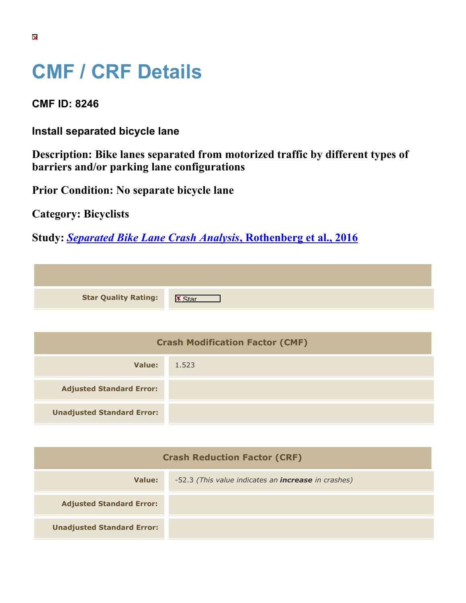## **CMF / CRF Details**

**CMF ID: 8246**

**Install separated bicycle lane**

**Unadjusted Standard Error:**

**Description: Bike lanes separated from motorized traffic by different types of barriers and/or parking lane configurations**

**Prior Condition: No separate bicycle lane**

**Category: Bicyclists**

**Study:** *[Separated Bike Lane Crash Analysis](https://cmfclearinghouse.org/study_detail.cfm?stid=460)***[, Rothenberg et al., 2016](https://cmfclearinghouse.org/study_detail.cfm?stid=460)**

| <b>Star Quality Rating:</b>            | <b>X</b> |
|----------------------------------------|----------|
|                                        |          |
| <b>Crash Modification Factor (CMF)</b> |          |
| <b>Value:</b>                          | 1.523    |
| <b>Adjusted Standard Error:</b>        |          |

| <b>Crash Reduction Factor (CRF)</b> |                                                            |  |
|-------------------------------------|------------------------------------------------------------|--|
| Value:                              | -52.3 (This value indicates an <b>increase</b> in crashes) |  |
| <b>Adjusted Standard Error:</b>     |                                                            |  |
| <b>Unadjusted Standard Error:</b>   |                                                            |  |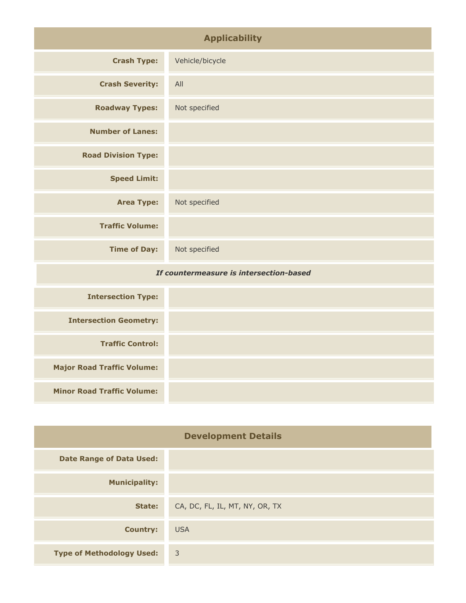| <b>Applicability</b>                    |                 |
|-----------------------------------------|-----------------|
| <b>Crash Type:</b>                      | Vehicle/bicycle |
| <b>Crash Severity:</b>                  | All             |
| <b>Roadway Types:</b>                   | Not specified   |
| <b>Number of Lanes:</b>                 |                 |
| <b>Road Division Type:</b>              |                 |
| <b>Speed Limit:</b>                     |                 |
| <b>Area Type:</b>                       | Not specified   |
| <b>Traffic Volume:</b>                  |                 |
| <b>Time of Day:</b>                     | Not specified   |
| If countermeasure is intersection-based |                 |
| <b>Intersection Type:</b>               |                 |

| <b>Intersection Geometry:</b>     |  |
|-----------------------------------|--|
|                                   |  |
| <b>Traffic Control:</b>           |  |
|                                   |  |
| <b>Major Road Traffic Volume:</b> |  |
|                                   |  |
|                                   |  |
| <b>Minor Road Traffic Volume:</b> |  |
|                                   |  |

| <b>Development Details</b>       |                                |
|----------------------------------|--------------------------------|
| <b>Date Range of Data Used:</b>  |                                |
| <b>Municipality:</b>             |                                |
| State:                           | CA, DC, FL, IL, MT, NY, OR, TX |
| <b>Country:</b>                  | <b>USA</b>                     |
| <b>Type of Methodology Used:</b> | $\overline{\mathbf{3}}$        |